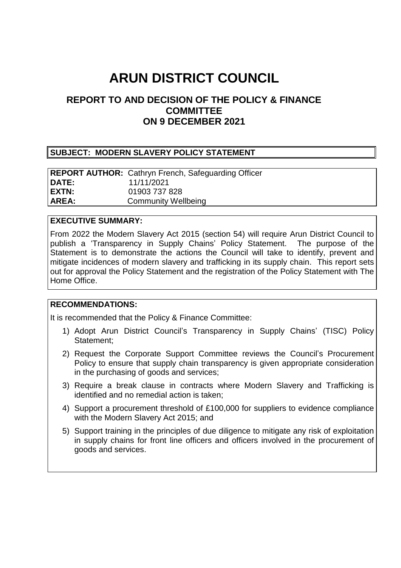# **ARUN DISTRICT COUNCIL**

# **REPORT TO AND DECISION OF THE POLICY & FINANCE COMMITTEE ON 9 DECEMBER 2021**

#### **SUBJECT: MODERN SLAVERY POLICY STATEMENT**

|              | <b>REPORT AUTHOR:</b> Cathryn French, Safeguarding Officer |
|--------------|------------------------------------------------------------|
| <b>DATE:</b> | 11/11/2021                                                 |
| EXTN:        | 01903 737 828                                              |
| <b>AREA:</b> | <b>Community Wellbeing</b>                                 |

#### **EXECUTIVE SUMMARY:**

From 2022 the Modern Slavery Act 2015 (section 54) will require Arun District Council to publish a 'Transparency in Supply Chains' Policy Statement. The purpose of the Statement is to demonstrate the actions the Council will take to identify, prevent and mitigate incidences of modern slavery and trafficking in its supply chain. This report sets out for approval the Policy Statement and the registration of the Policy Statement with The Home Office.

#### **RECOMMENDATIONS:**

It is recommended that the Policy & Finance Committee:

- 1) Adopt Arun District Council's Transparency in Supply Chains' (TISC) Policy Statement;
- 2) Request the Corporate Support Committee reviews the Council's Procurement Policy to ensure that supply chain transparency is given appropriate consideration in the purchasing of goods and services;
- 3) Require a break clause in contracts where Modern Slavery and Trafficking is identified and no remedial action is taken;
- 4) Support a procurement threshold of £100,000 for suppliers to evidence compliance with the Modern Slavery Act 2015; and
- 5) Support training in the principles of due diligence to mitigate any risk of exploitation in supply chains for front line officers and officers involved in the procurement of goods and services.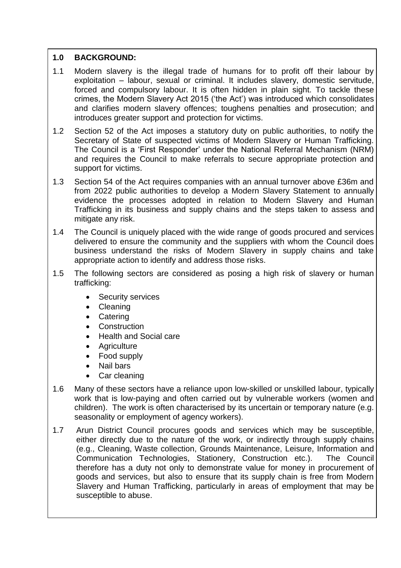# **1.0 BACKGROUND:**

- 1.1 Modern slavery is the illegal trade of humans for to profit off their labour by exploitation – labour, sexual or criminal. It includes slavery, domestic servitude, forced and compulsory labour. It is often hidden in plain sight. To tackle these crimes, the Modern Slavery Act 2015 ('the Act') was introduced which consolidates and clarifies modern slavery offences; toughens penalties and prosecution; and introduces greater support and protection for victims.
- 1.2 Section 52 of the Act imposes a statutory duty on public authorities, to notify the Secretary of State of suspected victims of Modern Slavery or Human Trafficking. The Council is a 'First Responder' under the National Referral Mechanism (NRM) and requires the Council to make referrals to secure appropriate protection and support for victims.
- 1.3 Section 54 of the Act requires companies with an annual turnover above £36m and from 2022 public authorities to develop a Modern Slavery Statement to annually evidence the processes adopted in relation to Modern Slavery and Human Trafficking in its business and supply chains and the steps taken to assess and mitigate any risk.
- 1.4 The Council is uniquely placed with the wide range of goods procured and services delivered to ensure the community and the suppliers with whom the Council does business understand the risks of Modern Slavery in supply chains and take appropriate action to identify and address those risks.
- 1.5 The following sectors are considered as posing a high risk of slavery or human trafficking:
	- Security services
	- Cleaning
	- Catering
	- Construction
	- Health and Social care
	- Agriculture
	- Food supply
	- Nail bars
	- Car cleaning
- 1.6 Many of these sectors have a reliance upon low-skilled or unskilled labour, typically work that is low-paying and often carried out by vulnerable workers (women and children). The work is often characterised by its uncertain or temporary nature (e.g. seasonality or employment of agency workers).
- 1.7 Arun District Council procures goods and services which may be susceptible, either directly due to the nature of the work, or indirectly through supply chains (e.g., Cleaning, Waste collection, Grounds Maintenance, Leisure, Information and Communication Technologies, Stationery, Construction etc.). The Council therefore has a duty not only to demonstrate value for money in procurement of goods and services, but also to ensure that its supply chain is free from Modern Slavery and Human Trafficking, particularly in areas of employment that may be susceptible to abuse.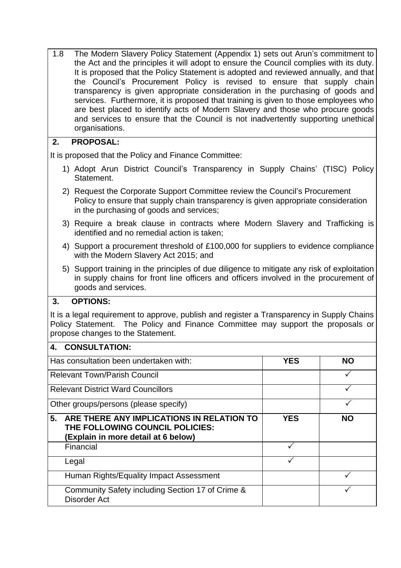1.8 The Modern Slavery Policy Statement (Appendix 1) sets out Arun's commitment to the Act and the principles it will adopt to ensure the Council complies with its duty. It is proposed that the Policy Statement is adopted and reviewed annually, and that the Council's Procurement Policy is revised to ensure that supply chain transparency is given appropriate consideration in the purchasing of goods and services. Furthermore, it is proposed that training is given to those employees who are best placed to identify acts of Modern Slavery and those who procure goods and services to ensure that the Council is not inadvertently supporting unethical organisations.

# **2. PROPOSAL:**

It is proposed that the Policy and Finance Committee:

- 1) Adopt Arun District Council's Transparency in Supply Chains' (TISC) Policy Statement.
- 2) Request the Corporate Support Committee review the Council's Procurement Policy to ensure that supply chain transparency is given appropriate consideration in the purchasing of goods and services;
- 3) Require a break clause in contracts where Modern Slavery and Trafficking is identified and no remedial action is taken;
- 4) Support a procurement threshold of £100,000 for suppliers to evidence compliance with the Modern Slavery Act 2015; and
- 5) Support training in the principles of due diligence to mitigate any risk of exploitation in supply chains for front line officers and officers involved in the procurement of goods and services.

# **3. OPTIONS:**

It is a legal requirement to approve, publish and register a Transparency in Supply Chains Policy Statement. The Policy and Finance Committee may support the proposals or propose changes to the Statement.

# **4. CONSULTATION:** Has consultation been undertaken with: **YES NO** Relevant Town/Parish Council **Example 2018** Relevant District Ward Councillors **Example 2018** Other groups/persons (please specify) **a 5. ARE THERE ANY IMPLICATIONS IN RELATION TO THE FOLLOWING COUNCIL POLICIES: (Explain in more detail at 6 below) YES NO** Financial  $\Box$ Legal $\Box$ Human Rights/Equality Impact Assessment  $\vert$   $\vert$ Community Safety including Section 17 of Crime & Disorder Act

 $\sqrt{}$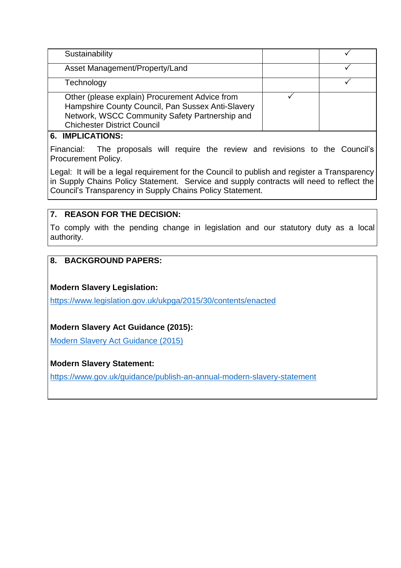| Sustainability                                                                                                                                                                              |  |
|---------------------------------------------------------------------------------------------------------------------------------------------------------------------------------------------|--|
| Asset Management/Property/Land                                                                                                                                                              |  |
| Technology                                                                                                                                                                                  |  |
| Other (please explain) Procurement Advice from<br>Hampshire County Council, Pan Sussex Anti-Slavery<br>Network, WSCC Community Safety Partnership and<br><b>Chichester District Council</b> |  |

#### **6. IMPLICATIONS:**

Financial: The proposals will require the review and revisions to the Council's Procurement Policy.

Legal: It will be a legal requirement for the Council to publish and register a Transparency in Supply Chains Policy Statement. Service and supply contracts will need to reflect the Council's Transparency in Supply Chains Policy Statement.

# **7. REASON FOR THE DECISION:**

To comply with the pending change in legislation and our statutory duty as a local authority.

# **8. BACKGROUND PAPERS:**

#### **Modern Slavery Legislation:**

<https://www.legislation.gov.uk/ukpga/2015/30/contents/enacted>

# **Modern Slavery Act Guidance (2015):**

[Modern Slavery Act Guidance \(2015\)](https://assets.publishing.service.gov.uk/government/uploads/system/uploads/attachment_data/file/1031731/modern-slavery-statutory-guidance-_ew_-non-statutory-guidance-_sni_v2.5-final.pdf)

# **Modern Slavery Statement:**

<https://www.gov.uk/guidance/publish-an-annual-modern-slavery-statement>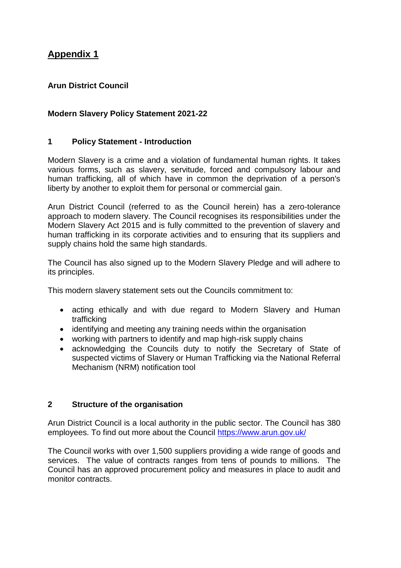# **Appendix 1**

# **Arun District Council**

## **Modern Slavery Policy Statement 2021-22**

#### **1 Policy Statement - Introduction**

Modern Slavery is a crime and a violation of fundamental human rights. It takes various forms, such as slavery, servitude, forced and compulsory labour and human trafficking, all of which have in common the deprivation of a person's liberty by another to exploit them for personal or commercial gain.

Arun District Council (referred to as the Council herein) has a zero-tolerance approach to modern slavery. The Council recognises its responsibilities under the Modern Slavery Act 2015 and is fully committed to the prevention of slavery and human trafficking in its corporate activities and to ensuring that its suppliers and supply chains hold the same high standards.

The Council has also signed up to the Modern Slavery Pledge and will adhere to its principles.

This modern slavery statement sets out the Councils commitment to:

- acting ethically and with due regard to Modern Slavery and Human trafficking
- identifying and meeting any training needs within the organisation
- working with partners to identify and map high-risk supply chains
- acknowledging the Councils duty to notify the Secretary of State of suspected victims of Slavery or Human Trafficking via the National Referral Mechanism (NRM) notification tool

#### **2 Structure of the organisation**

Arun District Council is a local authority in the public sector. The Council has 380 employees. To find out more about the Council<https://www.arun.gov.uk/>

The Council works with over 1,500 suppliers providing a wide range of goods and services. The value of contracts ranges from tens of pounds to millions. The Council has an approved procurement policy and measures in place to audit and monitor contracts.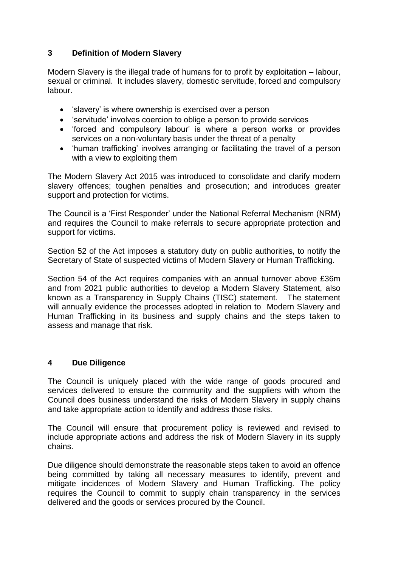# **3 Definition of Modern Slavery**

Modern Slavery is the illegal trade of humans for to profit by exploitation – labour, sexual or criminal. It includes slavery, domestic servitude, forced and compulsory labour.

- 'slavery' is where ownership is exercised over a person
- 'servitude' involves coercion to oblige a person to provide services
- 'forced and compulsory labour' is where a person works or provides services on a non-voluntary basis under the threat of a penalty
- 'human trafficking' involves arranging or facilitating the travel of a person with a view to exploiting them

The Modern Slavery Act 2015 was introduced to consolidate and clarify modern slavery offences; toughen penalties and prosecution; and introduces greater support and protection for victims.

The Council is a 'First Responder' under the National Referral Mechanism (NRM) and requires the Council to make referrals to secure appropriate protection and support for victims.

Section 52 of the Act imposes a statutory duty on public authorities, to notify the Secretary of State of suspected victims of Modern Slavery or Human Trafficking.

Section 54 of the Act requires companies with an annual turnover above £36m and from 2021 public authorities to develop a Modern Slavery Statement, also known as a Transparency in Supply Chains (TISC) statement. The statement will annually evidence the processes adopted in relation to Modern Slavery and Human Trafficking in its business and supply chains and the steps taken to assess and manage that risk.

# **4 Due Diligence**

The Council is uniquely placed with the wide range of goods procured and services delivered to ensure the community and the suppliers with whom the Council does business understand the risks of Modern Slavery in supply chains and take appropriate action to identify and address those risks.

The Council will ensure that procurement policy is reviewed and revised to include appropriate actions and address the risk of Modern Slavery in its supply chains.

Due diligence should demonstrate the reasonable steps taken to avoid an offence being committed by taking all necessary measures to identify, prevent and mitigate incidences of Modern Slavery and Human Trafficking. The policy requires the Council to commit to supply chain transparency in the services delivered and the goods or services procured by the Council.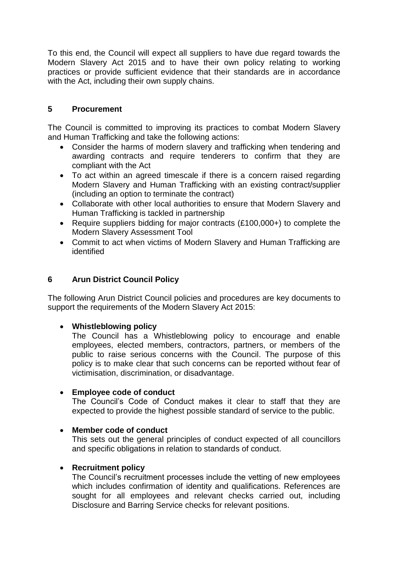To this end, the Council will expect all suppliers to have due regard towards the Modern Slavery Act 2015 and to have their own policy relating to working practices or provide sufficient evidence that their standards are in accordance with the Act, including their own supply chains.

#### **5 Procurement**

The Council is committed to improving its practices to combat Modern Slavery and Human Trafficking and take the following actions:

- Consider the harms of modern slavery and trafficking when tendering and awarding contracts and require tenderers to confirm that they are compliant with the Act
- To act within an agreed timescale if there is a concern raised regarding Modern Slavery and Human Trafficking with an existing contract/supplier (including an option to terminate the contract)
- Collaborate with other local authorities to ensure that Modern Slavery and Human Trafficking is tackled in partnership
- Require suppliers bidding for major contracts (£100,000+) to complete the Modern Slavery Assessment Tool
- Commit to act when victims of Modern Slavery and Human Trafficking are identified

## **6 Arun District Council Policy**

The following Arun District Council policies and procedures are key documents to support the requirements of the Modern Slavery Act 2015:

#### **Whistleblowing policy**

The Council has a Whistleblowing policy to encourage and enable employees, elected members, contractors, partners, or members of the public to raise serious concerns with the Council. The purpose of this policy is to make clear that such concerns can be reported without fear of victimisation, discrimination, or disadvantage.

#### **Employee code of conduct**

The Council's Code of Conduct makes it clear to staff that they are expected to provide the highest possible standard of service to the public.

#### **Member code of conduct**

This sets out the general principles of conduct expected of all councillors and specific obligations in relation to standards of conduct.

#### **Recruitment policy**

The Council's recruitment processes include the vetting of new employees which includes confirmation of identity and qualifications. References are sought for all employees and relevant checks carried out, including Disclosure and Barring Service checks for relevant positions.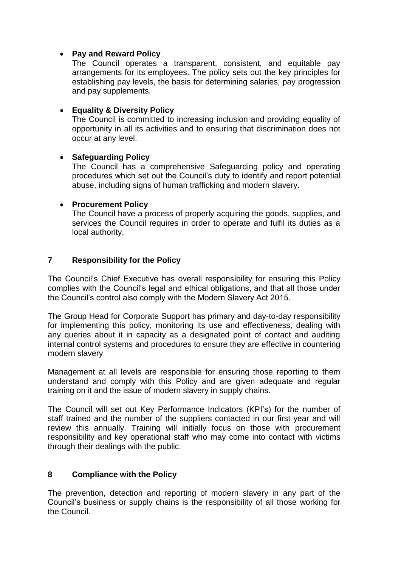#### **Pay and Reward Policy**

The Council operates a transparent, consistent, and equitable pay arrangements for its employees. The policy sets out the key principles for establishing pay levels, the basis for determining salaries, pay progression and pay supplements.

## **Equality & Diversity Policy**

The Council is committed to increasing inclusion and providing equality of opportunity in all its activities and to ensuring that discrimination does not occur at any level.

#### **Safeguarding Policy**

The Council has a comprehensive Safeguarding policy and operating procedures which set out the Council's duty to identify and report potential abuse, including signs of human trafficking and modern slavery.

#### **Procurement Policy**

The Council have a process of properly acquiring the goods, supplies, and services the Council requires in order to operate and fulfil its duties as a local authority.

# **7 Responsibility for the Policy**

The Council's Chief Executive has overall responsibility for ensuring this Policy complies with the Council's legal and ethical obligations, and that all those under the Council's control also comply with the Modern Slavery Act 2015.

The Group Head for Corporate Support has primary and day-to-day responsibility for implementing this policy, monitoring its use and effectiveness, dealing with any queries about it in capacity as a designated point of contact and auditing internal control systems and procedures to ensure they are effective in countering modern slavery

Management at all levels are responsible for ensuring those reporting to them understand and comply with this Policy and are given adequate and regular training on it and the issue of modern slavery in supply chains.

The Council will set out Key Performance Indicators (KPI's) for the number of staff trained and the number of the suppliers contacted in our first year and will review this annually. Training will initially focus on those with procurement responsibility and key operational staff who may come into contact with victims through their dealings with the public.

# **8 Compliance with the Policy**

The prevention, detection and reporting of modern slavery in any part of the Council's business or supply chains is the responsibility of all those working for the Council.